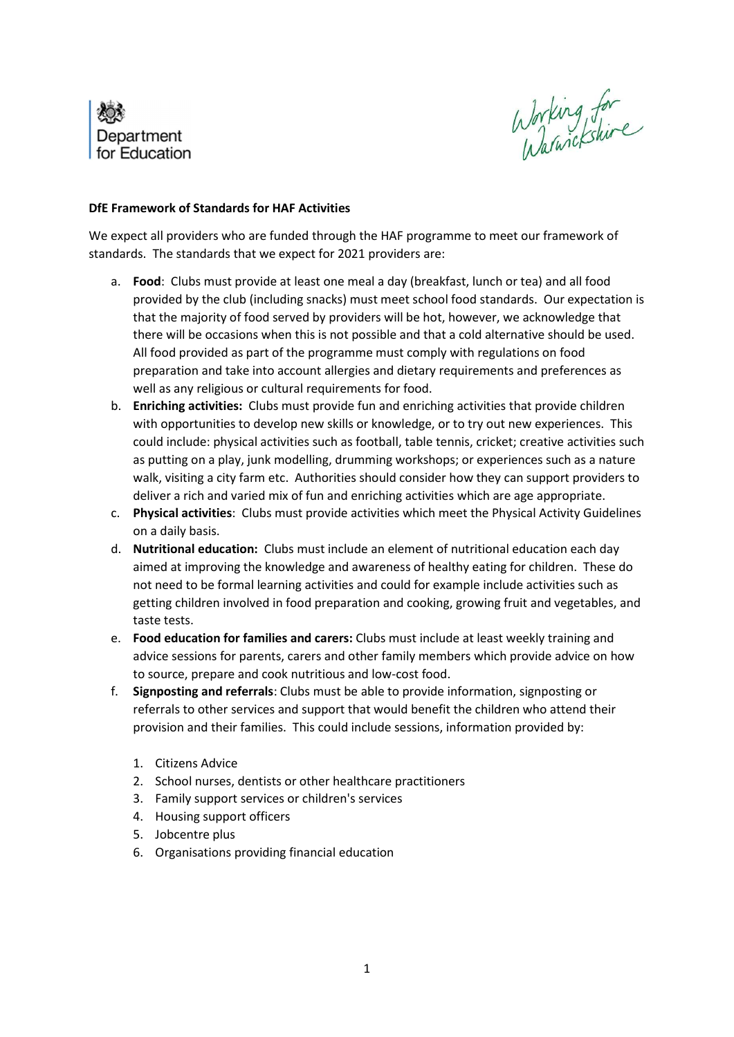

Working for

## DfE Framework of Standards for HAF Activities

We expect all providers who are funded through the HAF programme to meet our framework of standards. The standards that we expect for 2021 providers are:

- a. Food: Clubs must provide at least one meal a day (breakfast, lunch or tea) and all food provided by the club (including snacks) must meet school food standards. Our expectation is that the majority of food served by providers will be hot, however, we acknowledge that there will be occasions when this is not possible and that a cold alternative should be used. All food provided as part of the programme must comply with regulations on food preparation and take into account allergies and dietary requirements and preferences as well as any religious or cultural requirements for food.
- b. Enriching activities: Clubs must provide fun and enriching activities that provide children with opportunities to develop new skills or knowledge, or to try out new experiences. This could include: physical activities such as football, table tennis, cricket; creative activities such as putting on a play, junk modelling, drumming workshops; or experiences such as a nature walk, visiting a city farm etc. Authorities should consider how they can support providers to deliver a rich and varied mix of fun and enriching activities which are age appropriate.
- c. Physical activities: Clubs must provide activities which meet the Physical Activity Guidelines on a daily basis.
- d. Nutritional education: Clubs must include an element of nutritional education each day aimed at improving the knowledge and awareness of healthy eating for children. These do not need to be formal learning activities and could for example include activities such as getting children involved in food preparation and cooking, growing fruit and vegetables, and taste tests.
- e. Food education for families and carers: Clubs must include at least weekly training and advice sessions for parents, carers and other family members which provide advice on how to source, prepare and cook nutritious and low-cost food.
- f. Signposting and referrals: Clubs must be able to provide information, signposting or referrals to other services and support that would benefit the children who attend their provision and their families. This could include sessions, information provided by:
	- 1. Citizens Advice
	- 2. School nurses, dentists or other healthcare practitioners
	- 3. Family support services or children's services
	- 4. Housing support officers
	- 5. Jobcentre plus
	- 6. Organisations providing financial education